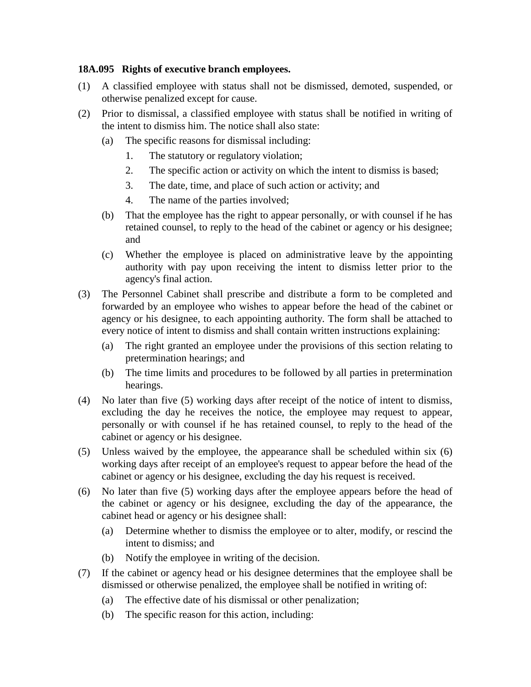## **18A.095 Rights of executive branch employees.**

- (1) A classified employee with status shall not be dismissed, demoted, suspended, or otherwise penalized except for cause.
- (2) Prior to dismissal, a classified employee with status shall be notified in writing of the intent to dismiss him. The notice shall also state:
	- (a) The specific reasons for dismissal including:
		- 1. The statutory or regulatory violation;
		- 2. The specific action or activity on which the intent to dismiss is based;
		- 3. The date, time, and place of such action or activity; and
		- 4. The name of the parties involved;
	- (b) That the employee has the right to appear personally, or with counsel if he has retained counsel, to reply to the head of the cabinet or agency or his designee; and
	- (c) Whether the employee is placed on administrative leave by the appointing authority with pay upon receiving the intent to dismiss letter prior to the agency's final action.
- (3) The Personnel Cabinet shall prescribe and distribute a form to be completed and forwarded by an employee who wishes to appear before the head of the cabinet or agency or his designee, to each appointing authority. The form shall be attached to every notice of intent to dismiss and shall contain written instructions explaining:
	- (a) The right granted an employee under the provisions of this section relating to pretermination hearings; and
	- (b) The time limits and procedures to be followed by all parties in pretermination hearings.
- (4) No later than five (5) working days after receipt of the notice of intent to dismiss, excluding the day he receives the notice, the employee may request to appear, personally or with counsel if he has retained counsel, to reply to the head of the cabinet or agency or his designee.
- (5) Unless waived by the employee, the appearance shall be scheduled within six (6) working days after receipt of an employee's request to appear before the head of the cabinet or agency or his designee, excluding the day his request is received.
- (6) No later than five (5) working days after the employee appears before the head of the cabinet or agency or his designee, excluding the day of the appearance, the cabinet head or agency or his designee shall:
	- (a) Determine whether to dismiss the employee or to alter, modify, or rescind the intent to dismiss; and
	- (b) Notify the employee in writing of the decision.
- (7) If the cabinet or agency head or his designee determines that the employee shall be dismissed or otherwise penalized, the employee shall be notified in writing of:
	- (a) The effective date of his dismissal or other penalization;
	- (b) The specific reason for this action, including: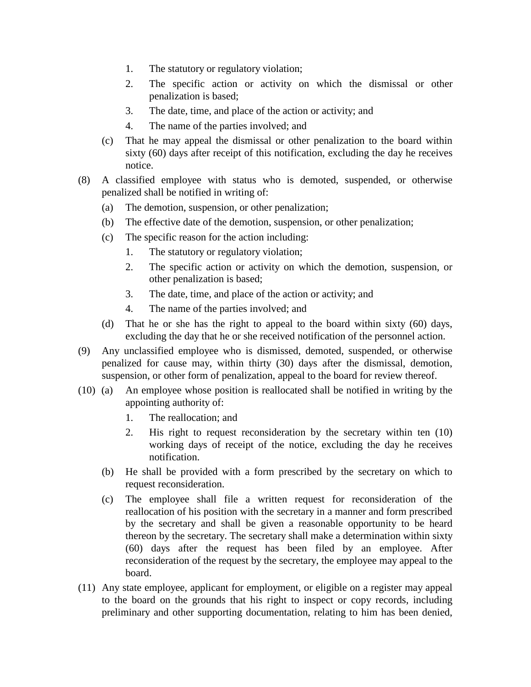- 1. The statutory or regulatory violation;
- 2. The specific action or activity on which the dismissal or other penalization is based;
- 3. The date, time, and place of the action or activity; and
- 4. The name of the parties involved; and
- (c) That he may appeal the dismissal or other penalization to the board within sixty (60) days after receipt of this notification, excluding the day he receives notice.
- (8) A classified employee with status who is demoted, suspended, or otherwise penalized shall be notified in writing of:
	- (a) The demotion, suspension, or other penalization;
	- (b) The effective date of the demotion, suspension, or other penalization;
	- (c) The specific reason for the action including:
		- 1. The statutory or regulatory violation;
		- 2. The specific action or activity on which the demotion, suspension, or other penalization is based;
		- 3. The date, time, and place of the action or activity; and
		- 4. The name of the parties involved; and
	- (d) That he or she has the right to appeal to the board within sixty (60) days, excluding the day that he or she received notification of the personnel action.
- (9) Any unclassified employee who is dismissed, demoted, suspended, or otherwise penalized for cause may, within thirty (30) days after the dismissal, demotion, suspension, or other form of penalization, appeal to the board for review thereof.
- (10) (a) An employee whose position is reallocated shall be notified in writing by the appointing authority of:
	- 1. The reallocation; and
	- 2. His right to request reconsideration by the secretary within ten (10) working days of receipt of the notice, excluding the day he receives notification.
	- (b) He shall be provided with a form prescribed by the secretary on which to request reconsideration.
	- (c) The employee shall file a written request for reconsideration of the reallocation of his position with the secretary in a manner and form prescribed by the secretary and shall be given a reasonable opportunity to be heard thereon by the secretary. The secretary shall make a determination within sixty (60) days after the request has been filed by an employee. After reconsideration of the request by the secretary, the employee may appeal to the board.
- (11) Any state employee, applicant for employment, or eligible on a register may appeal to the board on the grounds that his right to inspect or copy records, including preliminary and other supporting documentation, relating to him has been denied,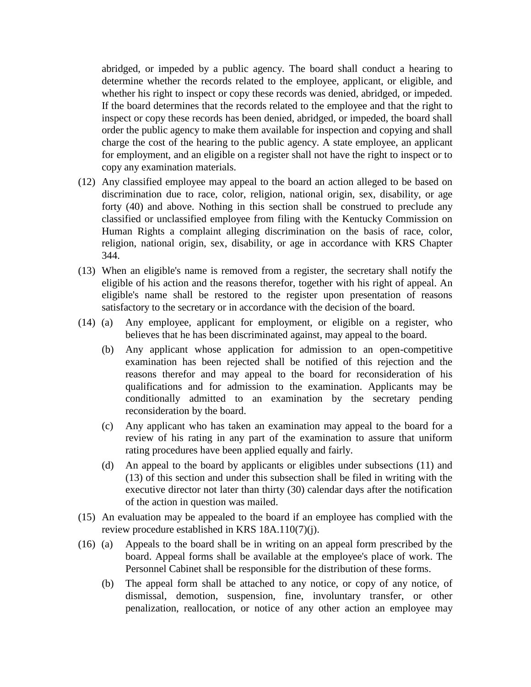abridged, or impeded by a public agency. The board shall conduct a hearing to determine whether the records related to the employee, applicant, or eligible, and whether his right to inspect or copy these records was denied, abridged, or impeded. If the board determines that the records related to the employee and that the right to inspect or copy these records has been denied, abridged, or impeded, the board shall order the public agency to make them available for inspection and copying and shall charge the cost of the hearing to the public agency. A state employee, an applicant for employment, and an eligible on a register shall not have the right to inspect or to copy any examination materials.

- (12) Any classified employee may appeal to the board an action alleged to be based on discrimination due to race, color, religion, national origin, sex, disability, or age forty (40) and above. Nothing in this section shall be construed to preclude any classified or unclassified employee from filing with the Kentucky Commission on Human Rights a complaint alleging discrimination on the basis of race, color, religion, national origin, sex, disability, or age in accordance with KRS Chapter 344.
- (13) When an eligible's name is removed from a register, the secretary shall notify the eligible of his action and the reasons therefor, together with his right of appeal. An eligible's name shall be restored to the register upon presentation of reasons satisfactory to the secretary or in accordance with the decision of the board.
- (14) (a) Any employee, applicant for employment, or eligible on a register, who believes that he has been discriminated against, may appeal to the board.
	- (b) Any applicant whose application for admission to an open-competitive examination has been rejected shall be notified of this rejection and the reasons therefor and may appeal to the board for reconsideration of his qualifications and for admission to the examination. Applicants may be conditionally admitted to an examination by the secretary pending reconsideration by the board.
	- (c) Any applicant who has taken an examination may appeal to the board for a review of his rating in any part of the examination to assure that uniform rating procedures have been applied equally and fairly.
	- (d) An appeal to the board by applicants or eligibles under subsections (11) and (13) of this section and under this subsection shall be filed in writing with the executive director not later than thirty (30) calendar days after the notification of the action in question was mailed.
- (15) An evaluation may be appealed to the board if an employee has complied with the review procedure established in KRS 18A.110(7)(j).
- (16) (a) Appeals to the board shall be in writing on an appeal form prescribed by the board. Appeal forms shall be available at the employee's place of work. The Personnel Cabinet shall be responsible for the distribution of these forms.
	- (b) The appeal form shall be attached to any notice, or copy of any notice, of dismissal, demotion, suspension, fine, involuntary transfer, or other penalization, reallocation, or notice of any other action an employee may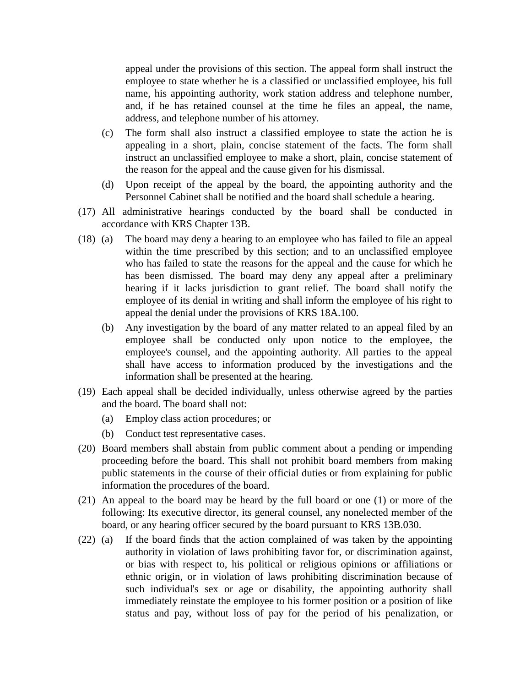appeal under the provisions of this section. The appeal form shall instruct the employee to state whether he is a classified or unclassified employee, his full name, his appointing authority, work station address and telephone number, and, if he has retained counsel at the time he files an appeal, the name, address, and telephone number of his attorney.

- (c) The form shall also instruct a classified employee to state the action he is appealing in a short, plain, concise statement of the facts. The form shall instruct an unclassified employee to make a short, plain, concise statement of the reason for the appeal and the cause given for his dismissal.
- (d) Upon receipt of the appeal by the board, the appointing authority and the Personnel Cabinet shall be notified and the board shall schedule a hearing.
- (17) All administrative hearings conducted by the board shall be conducted in accordance with KRS Chapter 13B.
- (18) (a) The board may deny a hearing to an employee who has failed to file an appeal within the time prescribed by this section; and to an unclassified employee who has failed to state the reasons for the appeal and the cause for which he has been dismissed. The board may deny any appeal after a preliminary hearing if it lacks jurisdiction to grant relief. The board shall notify the employee of its denial in writing and shall inform the employee of his right to appeal the denial under the provisions of KRS 18A.100.
	- (b) Any investigation by the board of any matter related to an appeal filed by an employee shall be conducted only upon notice to the employee, the employee's counsel, and the appointing authority. All parties to the appeal shall have access to information produced by the investigations and the information shall be presented at the hearing.
- (19) Each appeal shall be decided individually, unless otherwise agreed by the parties and the board. The board shall not:
	- (a) Employ class action procedures; or
	- (b) Conduct test representative cases.
- (20) Board members shall abstain from public comment about a pending or impending proceeding before the board. This shall not prohibit board members from making public statements in the course of their official duties or from explaining for public information the procedures of the board.
- (21) An appeal to the board may be heard by the full board or one (1) or more of the following: Its executive director, its general counsel, any nonelected member of the board, or any hearing officer secured by the board pursuant to KRS 13B.030.
- (22) (a) If the board finds that the action complained of was taken by the appointing authority in violation of laws prohibiting favor for, or discrimination against, or bias with respect to, his political or religious opinions or affiliations or ethnic origin, or in violation of laws prohibiting discrimination because of such individual's sex or age or disability, the appointing authority shall immediately reinstate the employee to his former position or a position of like status and pay, without loss of pay for the period of his penalization, or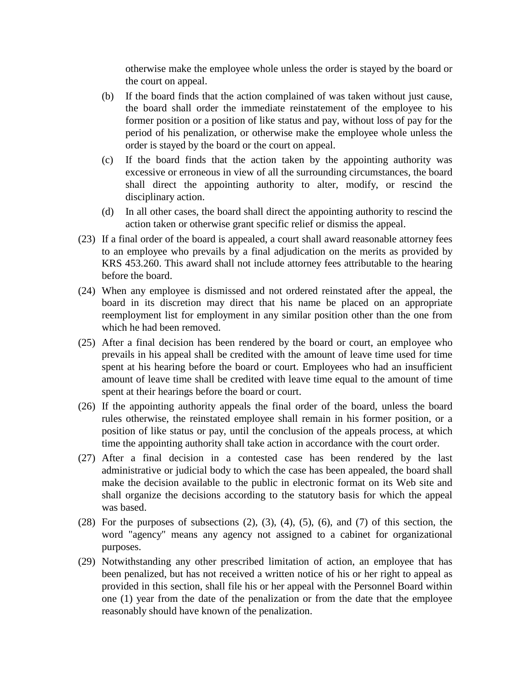otherwise make the employee whole unless the order is stayed by the board or the court on appeal.

- (b) If the board finds that the action complained of was taken without just cause, the board shall order the immediate reinstatement of the employee to his former position or a position of like status and pay, without loss of pay for the period of his penalization, or otherwise make the employee whole unless the order is stayed by the board or the court on appeal.
- (c) If the board finds that the action taken by the appointing authority was excessive or erroneous in view of all the surrounding circumstances, the board shall direct the appointing authority to alter, modify, or rescind the disciplinary action.
- (d) In all other cases, the board shall direct the appointing authority to rescind the action taken or otherwise grant specific relief or dismiss the appeal.
- (23) If a final order of the board is appealed, a court shall award reasonable attorney fees to an employee who prevails by a final adjudication on the merits as provided by KRS 453.260. This award shall not include attorney fees attributable to the hearing before the board.
- (24) When any employee is dismissed and not ordered reinstated after the appeal, the board in its discretion may direct that his name be placed on an appropriate reemployment list for employment in any similar position other than the one from which he had been removed.
- (25) After a final decision has been rendered by the board or court, an employee who prevails in his appeal shall be credited with the amount of leave time used for time spent at his hearing before the board or court. Employees who had an insufficient amount of leave time shall be credited with leave time equal to the amount of time spent at their hearings before the board or court.
- (26) If the appointing authority appeals the final order of the board, unless the board rules otherwise, the reinstated employee shall remain in his former position, or a position of like status or pay, until the conclusion of the appeals process, at which time the appointing authority shall take action in accordance with the court order.
- (27) After a final decision in a contested case has been rendered by the last administrative or judicial body to which the case has been appealed, the board shall make the decision available to the public in electronic format on its Web site and shall organize the decisions according to the statutory basis for which the appeal was based.
- $(28)$  For the purposes of subsections  $(2)$ ,  $(3)$ ,  $(4)$ ,  $(5)$ ,  $(6)$ , and  $(7)$  of this section, the word "agency" means any agency not assigned to a cabinet for organizational purposes.
- (29) Notwithstanding any other prescribed limitation of action, an employee that has been penalized, but has not received a written notice of his or her right to appeal as provided in this section, shall file his or her appeal with the Personnel Board within one (1) year from the date of the penalization or from the date that the employee reasonably should have known of the penalization.